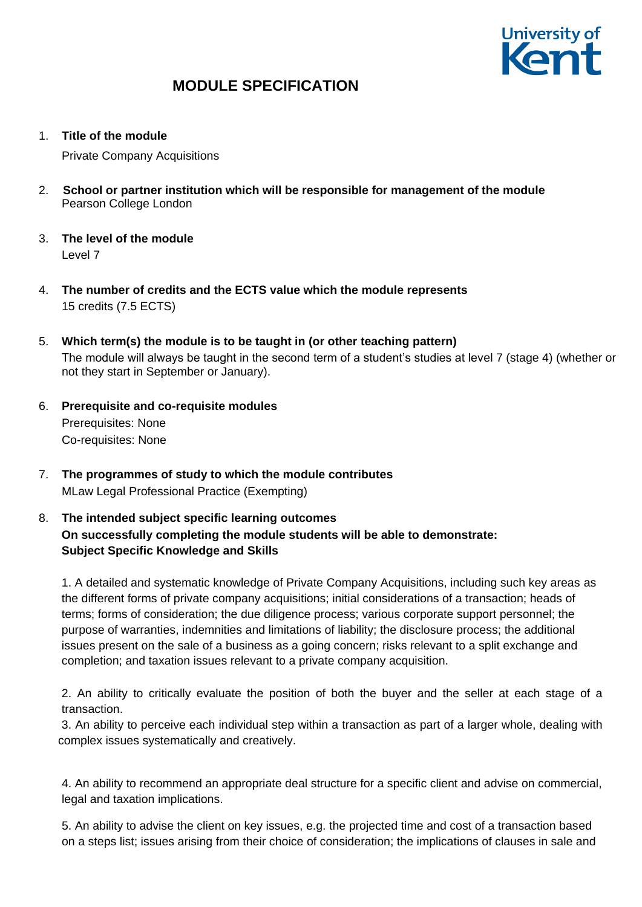

1. **Title of the module**

Private Company Acquisitions

- 2. **School or partner institution which will be responsible for management of the module** Pearson College London
- 3. **The level of the module**  Level 7
- 4. **The number of credits and the ECTS value which the module represents**  15 credits (7.5 ECTS)
- 5. **Which term(s) the module is to be taught in (or other teaching pattern)** The module will always be taught in the second term of a student's studies at level 7 (stage 4) (whether or not they start in September or January).
- 6. **Prerequisite and co-requisite modules** Prerequisites: None Co-requisites: None
- 7. **The programmes of study to which the module contributes** MLaw Legal Professional Practice (Exempting)
- 8. **The intended subject specific learning outcomes On successfully completing the module students will be able to demonstrate: Subject Specific Knowledge and Skills**

1. A detailed and systematic knowledge of Private Company Acquisitions, including such key areas as the different forms of private company acquisitions; initial considerations of a transaction; heads of terms; forms of consideration; the due diligence process; various corporate support personnel; the purpose of warranties, indemnities and limitations of liability; the disclosure process; the additional issues present on the sale of a business as a going concern; risks relevant to a split exchange and completion; and taxation issues relevant to a private company acquisition.

2. An ability to critically evaluate the position of both the buyer and the seller at each stage of a transaction.

3. An ability to perceive each individual step within a transaction as part of a larger whole, dealing with complex issues systematically and creatively.

4. An ability to recommend an appropriate deal structure for a specific client and advise on commercial, legal and taxation implications.

5. An ability to advise the client on key issues, e.g. the projected time and cost of a transaction based on a steps list; issues arising from their choice of consideration; the implications of clauses in sale and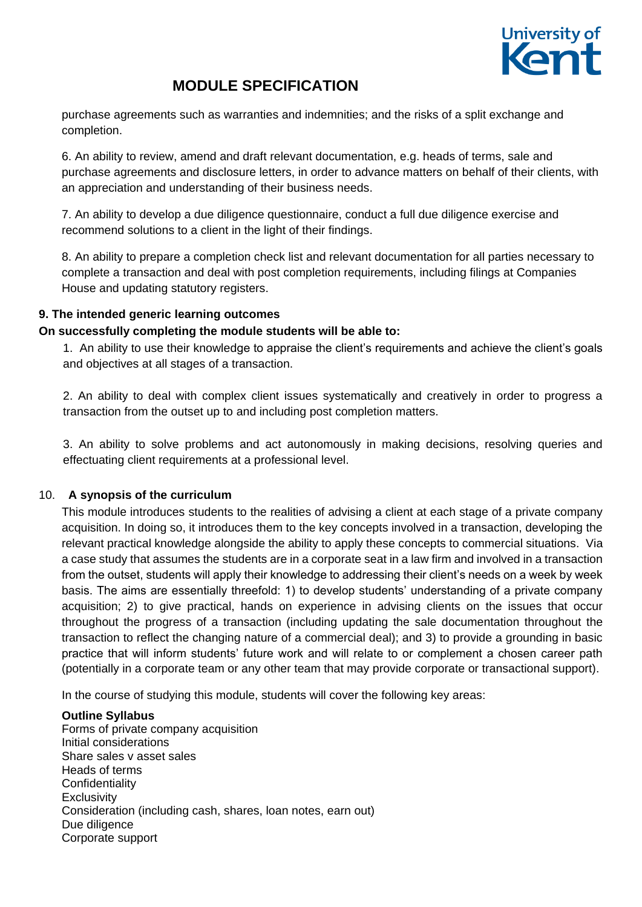

purchase agreements such as warranties and indemnities; and the risks of a split exchange and completion.

6. An ability to review, amend and draft relevant documentation, e.g. heads of terms, sale and purchase agreements and disclosure letters, in order to advance matters on behalf of their clients, with an appreciation and understanding of their business needs.

7. An ability to develop a due diligence questionnaire, conduct a full due diligence exercise and recommend solutions to a client in the light of their findings.

8. An ability to prepare a completion check list and relevant documentation for all parties necessary to complete a transaction and deal with post completion requirements, including filings at Companies House and updating statutory registers.

### **9. The intended generic learning outcomes**

### **On successfully completing the module students will be able to:**

1. An ability to use their knowledge to appraise the client's requirements and achieve the client's goals and objectives at all stages of a transaction.

2. An ability to deal with complex client issues systematically and creatively in order to progress a transaction from the outset up to and including post completion matters.

3. An ability to solve problems and act autonomously in making decisions, resolving queries and effectuating client requirements at a professional level.

### 10. **A synopsis of the curriculum**

This module introduces students to the realities of advising a client at each stage of a private company acquisition. In doing so, it introduces them to the key concepts involved in a transaction, developing the relevant practical knowledge alongside the ability to apply these concepts to commercial situations. Via a case study that assumes the students are in a corporate seat in a law firm and involved in a transaction from the outset, students will apply their knowledge to addressing their client's needs on a week by week basis. The aims are essentially threefold: 1) to develop students' understanding of a private company acquisition; 2) to give practical, hands on experience in advising clients on the issues that occur throughout the progress of a transaction (including updating the sale documentation throughout the transaction to reflect the changing nature of a commercial deal); and 3) to provide a grounding in basic practice that will inform students' future work and will relate to or complement a chosen career path (potentially in a corporate team or any other team that may provide corporate or transactional support).

In the course of studying this module, students will cover the following key areas:

#### **Outline Syllabus**

Forms of private company acquisition Initial considerations Share sales v asset sales Heads of terms **Confidentiality Exclusivity** Consideration (including cash, shares, loan notes, earn out) Due diligence Corporate support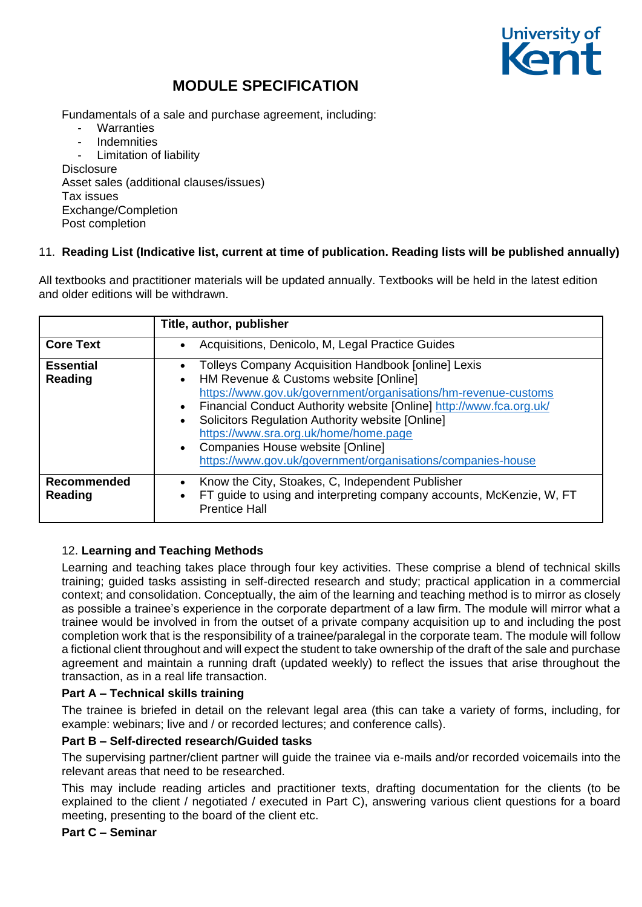

Fundamentals of a sale and purchase agreement, including:

- Warranties
- Indemnities

Limitation of liability **Disclosure**  Asset sales (additional clauses/issues) Tax issues Exchange/Completion Post completion

## 11. **Reading List (Indicative list, current at time of publication. Reading lists will be published annually)**

All textbooks and practitioner materials will be updated annually. Textbooks will be held in the latest edition and older editions will be withdrawn.

|                               | Title, author, publisher                                                                                                                                                                                                                                                                                                                                                                                                                       |
|-------------------------------|------------------------------------------------------------------------------------------------------------------------------------------------------------------------------------------------------------------------------------------------------------------------------------------------------------------------------------------------------------------------------------------------------------------------------------------------|
| <b>Core Text</b>              | Acquisitions, Denicolo, M, Legal Practice Guides                                                                                                                                                                                                                                                                                                                                                                                               |
| <b>Essential</b><br>Reading   | <b>Tolleys Company Acquisition Handbook [online] Lexis</b><br>HM Revenue & Customs website [Online]<br>https://www.gov.uk/government/organisations/hm-revenue-customs<br>Financial Conduct Authority website [Online] http://www.fca.org.uk/<br>Solicitors Regulation Authority website [Online]<br>https://www.sra.org.uk/home/home.page<br>• Companies House website [Online]<br>https://www.gov.uk/government/organisations/companies-house |
| <b>Recommended</b><br>Reading | Know the City, Stoakes, C, Independent Publisher<br>FT guide to using and interpreting company accounts, McKenzie, W, FT<br><b>Prentice Hall</b>                                                                                                                                                                                                                                                                                               |

## 12. **Learning and Teaching Methods**

Learning and teaching takes place through four key activities. These comprise a blend of technical skills training; guided tasks assisting in self-directed research and study; practical application in a commercial context; and consolidation. Conceptually, the aim of the learning and teaching method is to mirror as closely as possible a trainee's experience in the corporate department of a law firm. The module will mirror what a trainee would be involved in from the outset of a private company acquisition up to and including the post completion work that is the responsibility of a trainee/paralegal in the corporate team. The module will follow a fictional client throughout and will expect the student to take ownership of the draft of the sale and purchase agreement and maintain a running draft (updated weekly) to reflect the issues that arise throughout the transaction, as in a real life transaction.

## **Part A – Technical skills training**

The trainee is briefed in detail on the relevant legal area (this can take a variety of forms, including, for example: webinars; live and / or recorded lectures; and conference calls).

## **Part B – Self-directed research/Guided tasks**

The supervising partner/client partner will guide the trainee via e-mails and/or recorded voicemails into the relevant areas that need to be researched.

This may include reading articles and practitioner texts, drafting documentation for the clients (to be explained to the client / negotiated / executed in Part C), answering various client questions for a board meeting, presenting to the board of the client etc.

### **Part C – Seminar**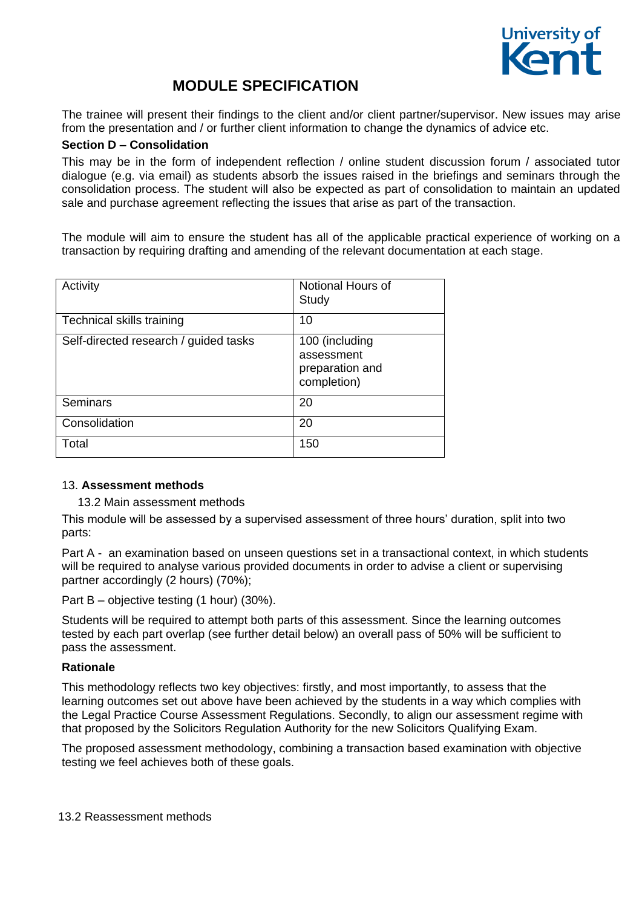

The trainee will present their findings to the client and/or client partner/supervisor. New issues may arise from the presentation and / or further client information to change the dynamics of advice etc.

#### **Section D – Consolidation**

This may be in the form of independent reflection / online student discussion forum / associated tutor dialogue (e.g. via email) as students absorb the issues raised in the briefings and seminars through the consolidation process. The student will also be expected as part of consolidation to maintain an updated sale and purchase agreement reflecting the issues that arise as part of the transaction.

The module will aim to ensure the student has all of the applicable practical experience of working on a transaction by requiring drafting and amending of the relevant documentation at each stage.

| Activity                              | Notional Hours of<br>Study                                     |
|---------------------------------------|----------------------------------------------------------------|
| Technical skills training             | 10                                                             |
| Self-directed research / guided tasks | 100 (including<br>assessment<br>preparation and<br>completion) |
| <b>Seminars</b>                       | 20                                                             |
| Consolidation                         | 20                                                             |
| Total                                 | 150                                                            |

### 13. **Assessment methods**

13.2 Main assessment methods

This module will be assessed by a supervised assessment of three hours' duration, split into two parts:

Part A - an examination based on unseen questions set in a transactional context, in which students will be required to analyse various provided documents in order to advise a client or supervising partner accordingly (2 hours) (70%);

Part B – objective testing (1 hour) (30%).

Students will be required to attempt both parts of this assessment. Since the learning outcomes tested by each part overlap (see further detail below) an overall pass of 50% will be sufficient to pass the assessment.

### **Rationale**

This methodology reflects two key objectives: firstly, and most importantly, to assess that the learning outcomes set out above have been achieved by the students in a way which complies with the Legal Practice Course Assessment Regulations. Secondly, to align our assessment regime with that proposed by the Solicitors Regulation Authority for the new Solicitors Qualifying Exam.

The proposed assessment methodology, combining a transaction based examination with objective testing we feel achieves both of these goals.

13.2 Reassessment methods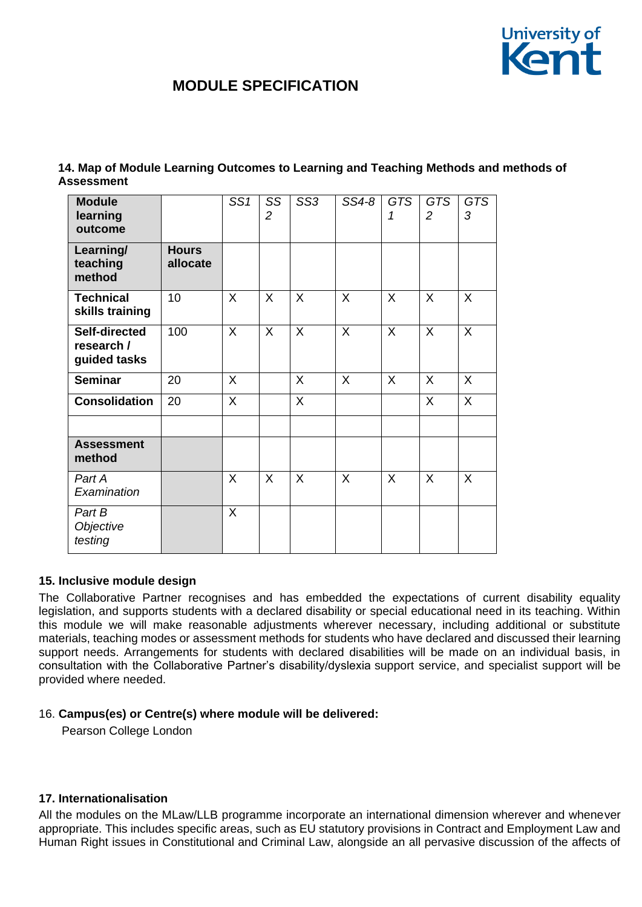

| <b>Module</b><br>learning<br>outcome               |                          | SS <sub>1</sub> | SS<br>$\overline{c}$ | SS <sub>3</sub> | SS4-8 | GTS<br>1 | <b>GTS</b><br>$\overline{2}$ | <b>GTS</b><br>3 |
|----------------------------------------------------|--------------------------|-----------------|----------------------|-----------------|-------|----------|------------------------------|-----------------|
| Learning/<br>teaching<br>method                    | <b>Hours</b><br>allocate |                 |                      |                 |       |          |                              |                 |
| <b>Technical</b><br>skills training                | 10                       | $\sf X$         | X                    | X               | X     | X        | X                            | X               |
| <b>Self-directed</b><br>research /<br>guided tasks | 100                      | $\sf X$         | X                    | X               | X     | X        | X                            | $\sf X$         |
| <b>Seminar</b>                                     | 20                       | $\sf X$         |                      | X               | X     | X        | X                            | X               |
| <b>Consolidation</b>                               | 20                       | $\sf X$         |                      | X               |       |          | $\mathsf{X}$                 | $\sf X$         |
| <b>Assessment</b><br>method                        |                          |                 |                      |                 |       |          |                              |                 |
| Part A<br>Examination                              |                          | X               | X                    | X               | X     | X        | X                            | X               |
| Part B<br>Objective<br>testing                     |                          | $\sf X$         |                      |                 |       |          |                              |                 |

**14. Map of Module Learning Outcomes to Learning and Teaching Methods and methods of Assessment** 

#### **15. Inclusive module design**

The Collaborative Partner recognises and has embedded the expectations of current disability equality legislation, and supports students with a declared disability or special educational need in its teaching. Within this module we will make reasonable adjustments wherever necessary, including additional or substitute materials, teaching modes or assessment methods for students who have declared and discussed their learning support needs. Arrangements for students with declared disabilities will be made on an individual basis, in consultation with the Collaborative Partner's disability/dyslexia support service, and specialist support will be provided where needed.

### 16. **Campus(es) or Centre(s) where module will be delivered:**

Pearson College London

### **17. Internationalisation**

All the modules on the MLaw/LLB programme incorporate an international dimension wherever and whenever appropriate. This includes specific areas, such as EU statutory provisions in Contract and Employment Law and Human Right issues in Constitutional and Criminal Law, alongside an all pervasive discussion of the affects of